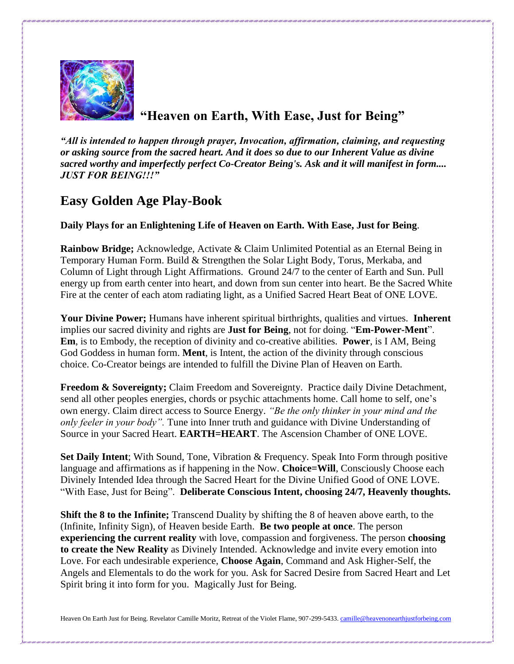

## **"Heaven on Earth, With Ease, Just for Being"**

*"All is intended to happen through prayer, Invocation, affirmation, claiming, and requesting or asking source from the sacred heart. And it does so due to our Inherent Value as divine sacred worthy and imperfectly perfect Co-Creator Being's. Ask and it will manifest in form.... JUST FOR BEING!!!"*

## **Easy Golden Age Play-Book**

## **Daily Plays for an Enlightening Life of Heaven on Earth. With Ease, Just for Being**.

**Rainbow Bridge;** Acknowledge, Activate & Claim Unlimited Potential as an Eternal Being in Temporary Human Form. Build & Strengthen the Solar Light Body, Torus, Merkaba, and Column of Light through Light Affirmations. Ground 24/7 to the center of Earth and Sun. Pull energy up from earth center into heart, and down from sun center into heart. Be the Sacred White Fire at the center of each atom radiating light, as a Unified Sacred Heart Beat of ONE LOVE.

**Your Divine Power;** Humans have inherent spiritual birthrights, qualities and virtues. **Inherent** implies our sacred divinity and rights are **Just for Being**, not for doing. "**Em-Power-Ment**". **Em**, is to Embody, the reception of divinity and co-creative abilities. **Power**, is I AM, Being God Goddess in human form. **Ment**, is Intent, the action of the divinity through conscious choice. Co-Creator beings are intended to fulfill the Divine Plan of Heaven on Earth.

**Freedom & Sovereignty;** Claim Freedom and Sovereignty. Practice daily Divine Detachment, send all other peoples energies, chords or psychic attachments home. Call home to self, one's own energy. Claim direct access to Source Energy. *"Be the only thinker in your mind and the only feeler in your body".* Tune into Inner truth and guidance with Divine Understanding of Source in your Sacred Heart. **EARTH=HEART**. The Ascension Chamber of ONE LOVE.

**Set Daily Intent**; With Sound, Tone, Vibration & Frequency. Speak Into Form through positive language and affirmations as if happening in the Now. **Choice=Will**, Consciously Choose each Divinely Intended Idea through the Sacred Heart for the Divine Unified Good of ONE LOVE. "With Ease, Just for Being". **Deliberate Conscious Intent, choosing 24/7, Heavenly thoughts.**

**Shift the 8 to the Infinite;** Transcend Duality by shifting the 8 of heaven above earth, to the (Infinite, Infinity Sign), of Heaven beside Earth. **Be two people at once**. The person **experiencing the current reality** with love, compassion and forgiveness. The person **choosing to create the New Reality** as Divinely Intended. Acknowledge and invite every emotion into Love. For each undesirable experience, **Choose Again**, Command and Ask Higher-Self, the Angels and Elementals to do the work for you. Ask for Sacred Desire from Sacred Heart and Let Spirit bring it into form for you. Magically Just for Being.

Heaven On Earth Just for Being. Revelator Camille Moritz, Retreat of the Violet Flame, 907-299-5433[. camille@heavenonearthjustforbeing.com](mailto:camille@heavenonearthjustforbeing.com)